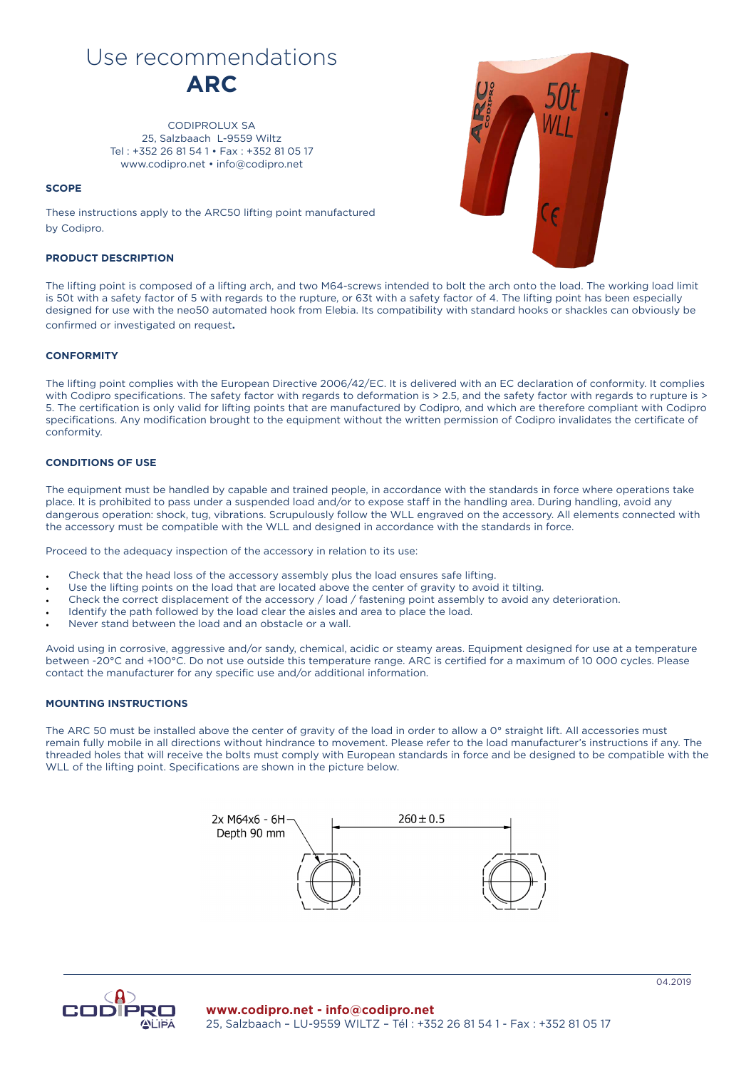# Use recommendations **ARC**

CODIPROLUX SA 25, Salzbaach L-9559 Wiltz Tel : +352 26 81 54 1 • Fax : +352 81 05 17 www.codipro.net • info@codipro.net

## **SCOPE**

These instructions apply to the ARC50 lifting point manufactured by Codipro.

# **PRODUCT DESCRIPTION**



The lifting point is composed of a lifting arch, and two M64-screws intended to bolt the arch onto the load. The working load limit is 50t with a safety factor of 5 with regards to the rupture, or 63t with a safety factor of 4. The lifting point has been especially designed for use with the neo50 automated hook from Elebia. Its compatibility with standard hooks or shackles can obviously be confirmed or investigated on request**.**

## **CONFORMITY**

The lifting point complies with the European Directive 2006/42/EC. It is delivered with an EC declaration of conformity. It complies with Codipro specifications. The safety factor with regards to deformation is > 2.5, and the safety factor with regards to rupture is > 5. The certification is only valid for lifting points that are manufactured by Codipro, and which are therefore compliant with Codipro specifications. Any modification brought to the equipment without the written permission of Codipro invalidates the certificate of conformity.

#### **CONDITIONS OF USE**

The equipment must be handled by capable and trained people, in accordance with the standards in force where operations take place. It is prohibited to pass under a suspended load and/or to expose staff in the handling area. During handling, avoid any dangerous operation: shock, tug, vibrations. Scrupulously follow the WLL engraved on the accessory. All elements connected with the accessory must be compatible with the WLL and designed in accordance with the standards in force.

Proceed to the adequacy inspection of the accessory in relation to its use:

- Check that the head loss of the accessory assembly plus the load ensures safe lifting.
- Use the lifting points on the load that are located above the center of gravity to avoid it tilting.
- Check the correct displacement of the accessory / load / fastening point assembly to avoid any deterioration.
- Identify the path followed by the load clear the aisles and area to place the load.
- Never stand between the load and an obstacle or a wall.

Avoid using in corrosive, aggressive and/or sandy, chemical, acidic or steamy areas. Equipment designed for use at a temperature between -20°C and +100°C. Do not use outside this temperature range. ARC is certified for a maximum of 10 000 cycles. Please contact the manufacturer for any specific use and/or additional information.

# **MOUNTING INSTRUCTIONS**

The ARC 50 must be installed above the center of gravity of the load in order to allow a 0° straight lift. All accessories must remain fully mobile in all directions without hindrance to movement. Please refer to the load manufacturer's instructions if any. The threaded holes that will receive the bolts must comply with European standards in force and be designed to be compatible with the WLL of the lifting point. Specifications are shown in the picture below.